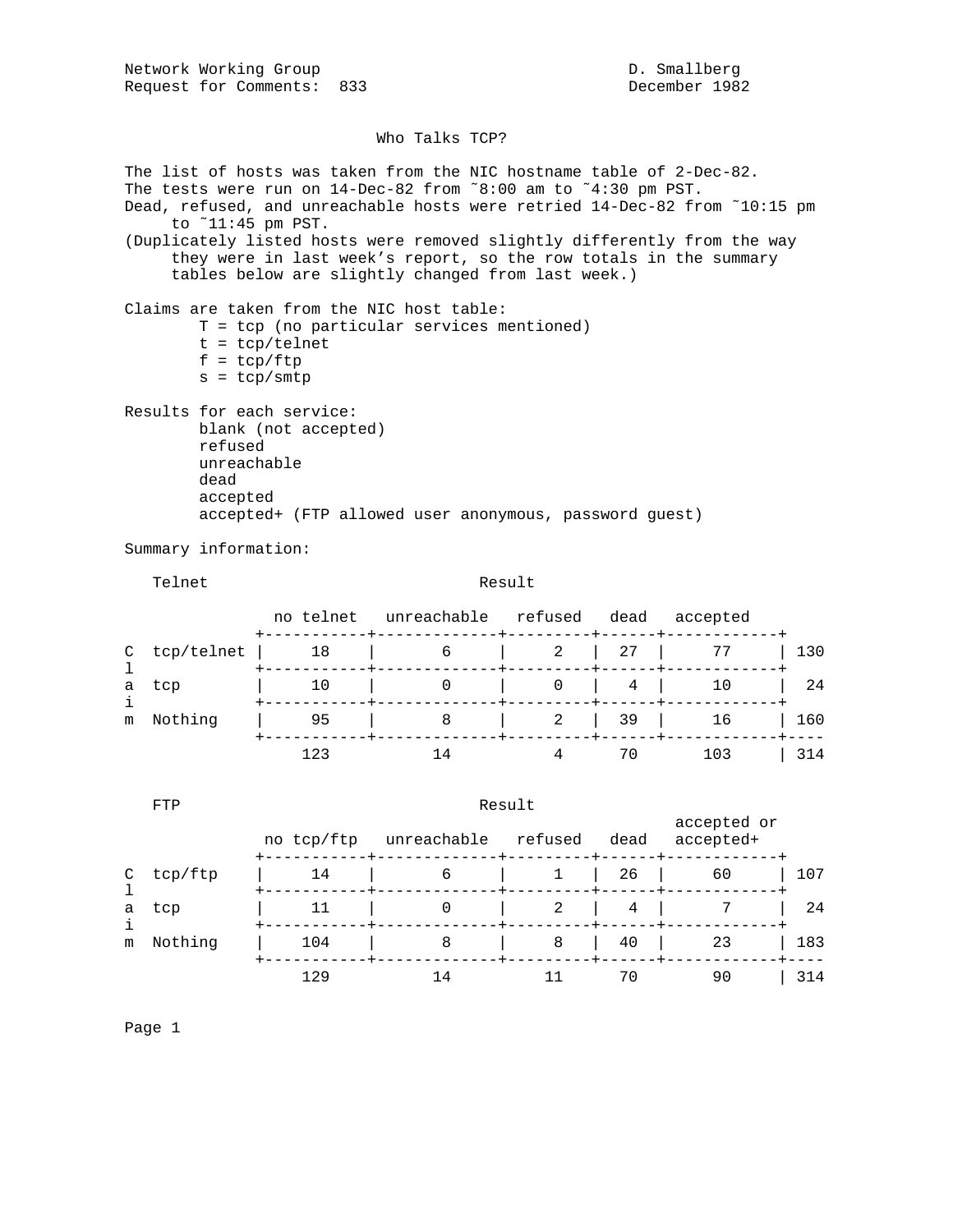Network Working Group and D. Smallberg D. Smallberg Request for Comments: 833 December 1982

## Who Talks TCP?

The list of hosts was taken from the NIC hostname table of 2-Dec-82. The tests were run on 14-Dec-82 from ˜8:00 am to ˜4:30 pm PST. Dead, refused, and unreachable hosts were retried 14-Dec-82 from ˜10:15 pm to ˜11:45 pm PST. (Duplicately listed hosts were removed slightly differently from the way they were in last week's report, so the row totals in the summary tables below are slightly changed from last week.) Claims are taken from the NIC host table: T = tcp (no particular services mentioned)  $t = \text{tcp/telnet}$  $f = \text{tcp}/\text{ftp}$  $s = tcp/smtp$ Results for each service: blank (not accepted) refused unreachable dead accepted accepted+ (FTP allowed user anonymous, password guest) Summary information: Telnet **Result**  no telnet unreachable refused dead accepted +-----------+-------------+---------+------+------------+ C tcp/telnet | 18 | 6 | 2 | 27 | 77 | 130 l +-----------+-------------+---------+------+------------+ | 10 | 0 | 0 | 4 | 10 | 24 i +-----------+-------------+---------+------+------------+ m Nothing | 95 | 8 | 2 | 39 | 16 | 160 +-----------+-------------+---------+------+------------+---- 123 14 4 70 103 | 314 FTP Result accepted or no tcp/ftp unreachable refused dead accepted+ +-----------+-------------+---------+------+------------+

|              | C tcp/ftp | 14  | 6   |    | $1 \quad 26 \quad$ | 60    | 107 |
|--------------|-----------|-----|-----|----|--------------------|-------|-----|
|              | a tcp     |     |     |    |                    | 2 4 7 | 24  |
| Nothing<br>m | 104       |     | $8$ | 40 | 23                 | 183   |     |
|              |           | 129 |     |    | 70                 | 90    | 314 |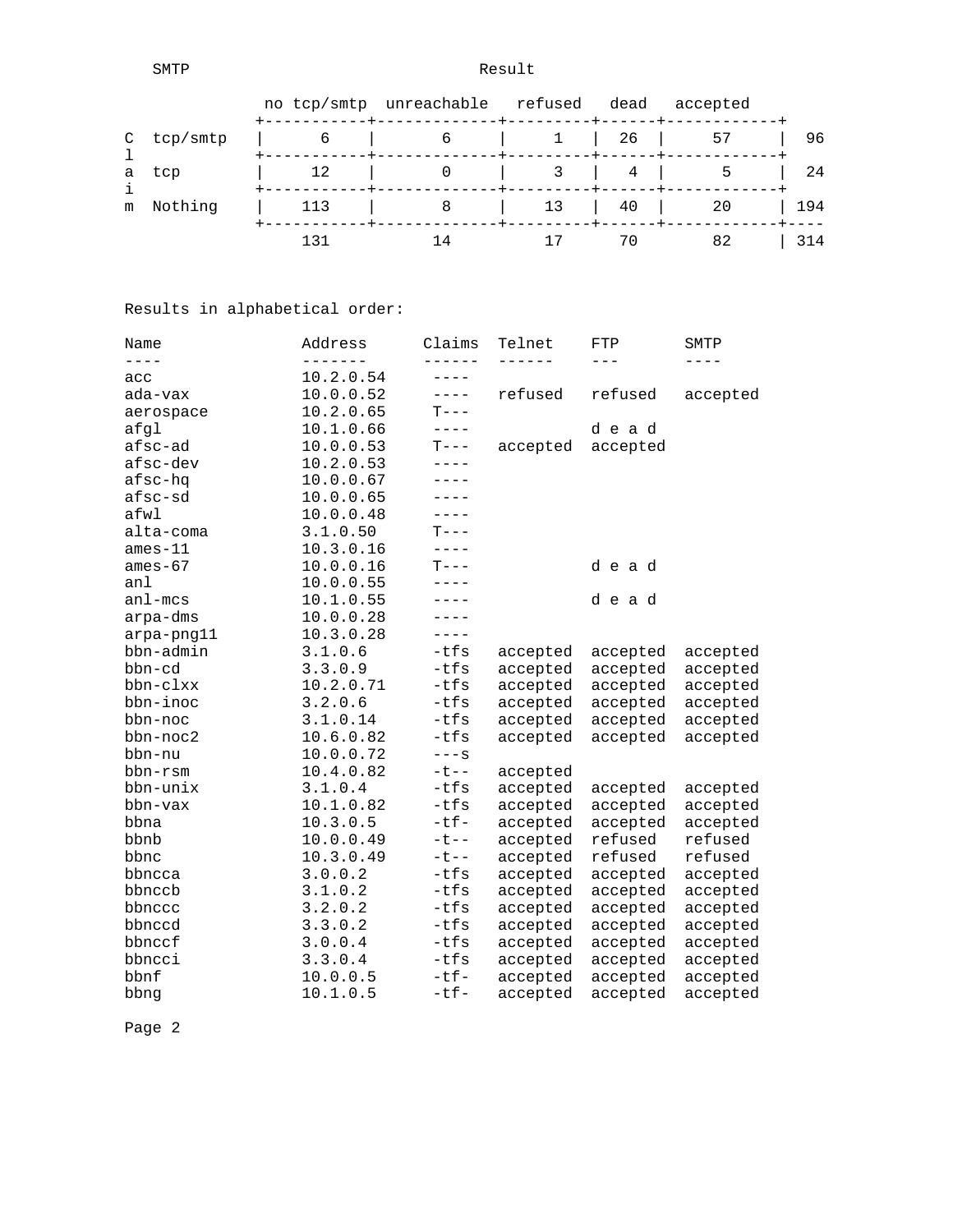SMTP Result

|            |     | no tcp/smtp unreachable refused |    | dead                                | accepted |     |
|------------|-----|---------------------------------|----|-------------------------------------|----------|-----|
| C tcp/smtp |     |                                 |    | $1 \mid 26 \mid$                    | 57       | 96  |
| a tcp      | 12  |                                 |    | 4                                   | כ        | 24  |
| m Nothing  | 113 |                                 | 13 | $\begin{array}{ccc} \end{array}$ 40 | -20      | 194 |
|            | 131 |                                 |    | 70                                  | 82       | 314 |

## Results in alphabetical order:

| Name        | Address   | Claims      | Telnet   | FTP      | SMTP      |
|-------------|-----------|-------------|----------|----------|-----------|
| $- - - -$   | -------   | ------      | ------   | $---$    | $- - - -$ |
| acc         | 10.2.0.54 | $- - - - -$ |          |          |           |
| ada-vax     | 10.0.0.52 | $- - - -$   | refused  | refused  | accepted  |
| aerospace   | 10.2.0.65 | $T---$      |          |          |           |
| afgl        | 10.1.0.66 | $- - - - -$ |          | dead     |           |
| afsc-ad     | 10.0.0.53 | $T---$      | accepted | accepted |           |
| afsc-dev    | 10.2.0.53 | ----        |          |          |           |
| afsc-hq     | 10.0.0.67 | $- - - -$   |          |          |           |
| afsc-sd     | 10.0.0.65 | $- - - -$   |          |          |           |
| afwl        | 10.0.0.48 | $- - - -$   |          |          |           |
| alta-coma   | 3.1.0.50  | $T---$      |          |          |           |
| $ames-11$   | 10.3.0.16 | $- - - -$   |          |          |           |
| $ames-67$   | 10.0.0.16 | $T--$       |          | dead     |           |
| anl         | 10.0.0.55 | $- - - -$   |          |          |           |
| $an1 - mcs$ | 10.1.0.55 | $---$       |          | dead     |           |
| arpa-dms    | 10.0.0.28 | $---$       |          |          |           |
| arpa-png11  | 10.3.0.28 | $---$       |          |          |           |
| bbn-admin   | 3.1.0.6   | $-tfs$      | accepted | accepted | accepted  |
| bbn-cd      | 3.3.0.9   | $-tfs$      | accepted | accepted | accepted  |
| bbn-clxx    | 10.2.0.71 | $-tfs$      | accepted | accepted | accepted  |
| bbn-inoc    | 3.2.0.6   | $-tfs$      | accepted | accepted | accepted  |
| bbn-noc     | 3.1.0.14  | $-tfs$      | accepted | accepted | accepted  |
| bbn-noc2    | 10.6.0.82 | $-tfs$      | accepted | accepted | accepted  |
| bbn-nu      | 10.0.0.72 | $---S$      |          |          |           |
| bbn-rsm     | 10.4.0.82 | $-t$ --     | accepted |          |           |
| bbn-unix    | 3.1.0.4   | $-tfs$      | accepted | accepted | accepted  |
| bbn-vax     | 10.1.0.82 | $-tfs$      | accepted | accepted | accepted  |
| bbna        | 10.3.0.5  | $-tf-$      | accepted | accepted | accepted  |
| bbnb        | 10.0.0.49 | $-t$ - -    | accepted | refused  | refused   |
| bbnc        | 10.3.0.49 | $-t$ - -    | accepted | refused  | refused   |
| bbncca      | 3.0.0.2   | $-tfs$      | accepted | accepted | accepted  |
| bbnccb      | 3.1.0.2   | $-tfs$      | accepted | accepted | accepted  |
| bbnccc      | 3.2.0.2   | $-tfs$      | accepted | accepted | accepted  |
| bbnccd      | 3.3.0.2   | $-tfs$      | accepted | accepted | accepted  |
| bbnccf      | 3.0.0.4   | $-tfs$      | accepted | accepted | accepted  |
| bbncci      | 3.3.0.4   | -tfs        | accepted | accepted | accepted  |
| bbnf        | 10.0.0.5  | $-tf-$      | accepted | accepted | accepted  |
| bbng        | 10.1.0.5  | $-tf-$      | accepted | accepted | accepted  |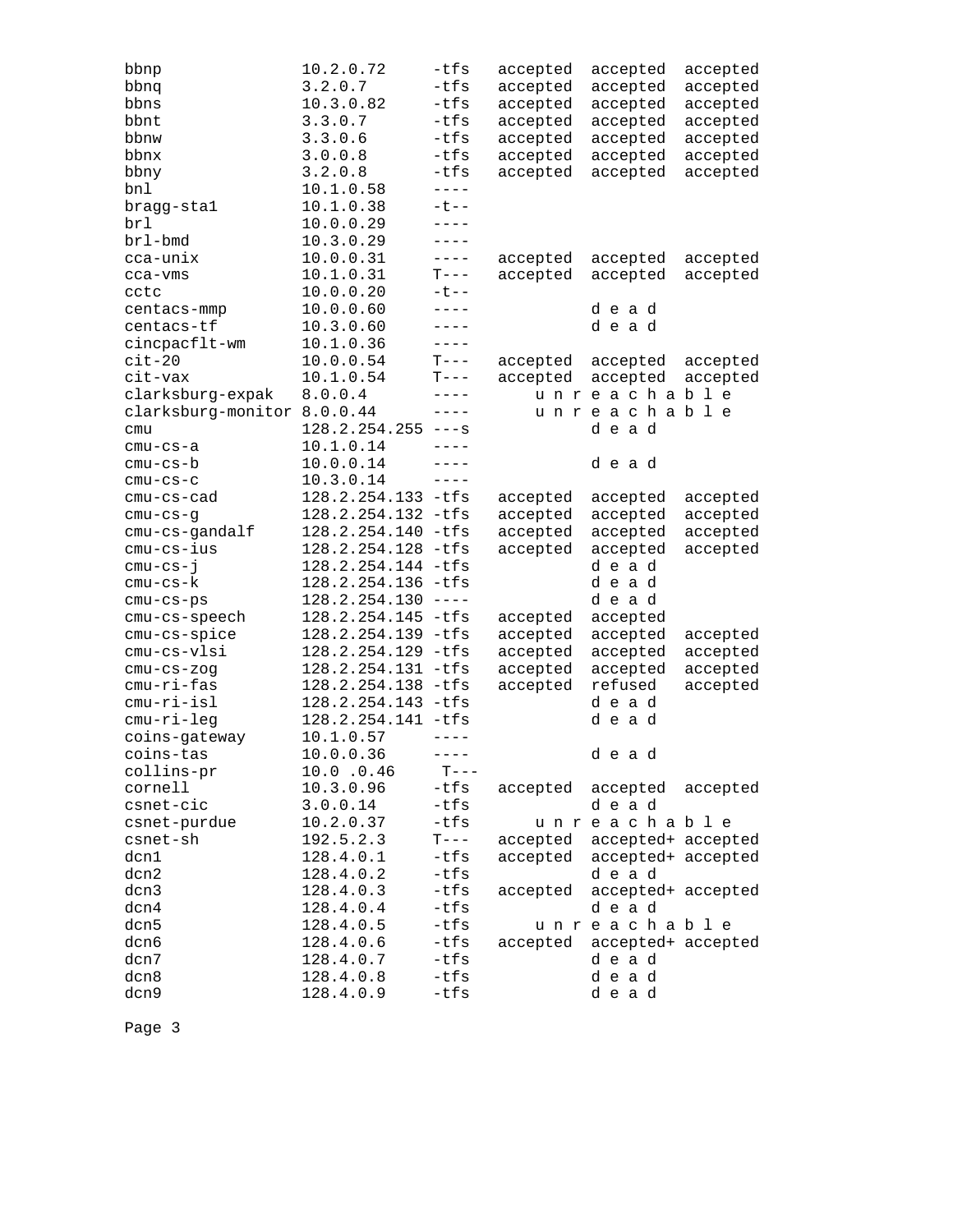| bbnp                        | 10.2.0.72            | -tfs        | accepted | accepted                    | accepted |
|-----------------------------|----------------------|-------------|----------|-----------------------------|----------|
| bbnq                        | 3.2.0.7              | $-tfs$      | accepted | accepted                    | accepted |
| bbns                        | 10.3.0.82            | $-tfs$      | accepted | accepted                    | accepted |
| bbnt                        | 3.3.0.7              | $-tfs$      | accepted | accepted                    | accepted |
| bbnw                        | 3.3.0.6              | -tfs        | accepted | accepted                    | accepted |
| bbnx                        | 3.0.0.8              | $-tfs$      | accepted | accepted                    | accepted |
| bbny                        | 3.2.0.8              | $-tfs$      | accepted | accepted                    | accepted |
| bnl                         | 10.1.0.58            | $- - - -$   |          |                             |          |
| bragg-stal                  | 10.1.0.38            | $-t$ --     |          |                             |          |
| brl                         | 10.0.0.29            | ----        |          |                             |          |
| brl-bmd                     | 10.3.0.29            | ----        |          |                             |          |
| cca-unix                    | 10.0.0.31            | $---$       | accepted | accepted                    | accepted |
| cca-vms                     | 10.1.0.31            | $T---$      | accepted | accepted                    | accepted |
| cctc                        | 10.0.0.20            | $-t$ --     |          |                             |          |
| centacs-mmp                 | 10.0.0.60            | $---$       |          | dead                        |          |
| centacs-tf                  | 10.3.0.60            | $---$       |          | dead                        |          |
| cincpacflt-wm               | 10.1.0.36            | $---$       |          |                             |          |
| $cit-20$                    | 10.0.0.54            | $T---$      | accepted | accepted                    | accepted |
| cit-vax                     | 10.1.0.54            | $T---$      | accepted | accepted                    | accepted |
| clarksburg-expak            | 8.0.0.4              | $---$       |          | unreachable                 |          |
| clarksburg-monitor 8.0.0.44 |                      | $---$       |          | unreachable                 |          |
| cmu                         | $128.2.254.255$ ---s |             |          | dead                        |          |
| $cmu-cs-a$                  | 10.1.0.14            | $- - - -$   |          |                             |          |
| $cmu-cs-b$                  | 10.0.0.14            | $- - - -$   |          | dead                        |          |
| $cmu-cs-c$                  | 10.3.0.14            | $---$       |          |                             |          |
| $cmu-cs-cad$                | 128.2.254.133 -tfs   |             | accepted | accepted                    | accepted |
| $cmu-cs-g$                  | 128.2.254.132        | -tfs        | accepted | accepted                    | accepted |
| cmu-cs-gandalf              | 128.2.254.140        | $-tfs$      | accepted | accepted                    | accepted |
| cmu-cs-ius                  | 128.2.254.128        | -tfs        | accepted | accepted                    | accepted |
| $cmu-cs-j$                  | 128.2.254.144 -tfs   |             |          | dead                        |          |
| cmu-cs-k                    | 128.2.254.136 -tfs   |             |          | dead                        |          |
| cmu-cs-ps                   | 128.2.254.130        | $----$      |          | dead                        |          |
| cmu-cs-speech               | 128.2.254.145        | -tfs        | accepted | accepted                    |          |
| cmu-cs-spice                | 128.2.254.139        | $-tfs$      | accepted | accepted                    | accepted |
| cmu-cs-vlsi                 | 128.2.254.129        | -tfs        | accepted | accepted                    | accepted |
| $cmu-cs-zog$                | 128.2.254.131 -tfs   |             | accepted | accepted                    | accepted |
| cmu-ri-fas                  | 128.2.254.138        | -tfs        | accepted | refused                     | accepted |
| $cmu-ri-isl$                | 128.2.254.143        | -tfs        |          | dead                        |          |
| cmu-ri-leg                  | 128.2.254.141 -tfs   |             |          | dead                        |          |
| coins-gateway               | 10.1.0.57            | $- - - - -$ |          |                             |          |
| coins-tas                   | 10.0.0.36            | $- - - -$   |          | dead                        |          |
| collins-pr                  | 10.0.0.46            | $T---$      |          |                             |          |
| cornell                     | 10.3.0.96            | -tfs        |          | accepted accepted           | accepted |
| csnet-cic                   | 3.0.0.14             | -tfs        |          | dead                        |          |
| csnet-purdue                | 10.2.0.37            | $-tfs$      |          | unreachable                 |          |
| csnet-sh                    | 192.5.2.3            | $T---$      |          | accepted accepted+ accepted |          |
| dcn1                        | 128.4.0.1            | -tfs        | accepted | accepted+ accepted          |          |
| dcn2                        | 128.4.0.2            | -tfs        |          | dead                        |          |
| dcn3                        | 128.4.0.3            | $-tfs$      | accepted | accepted+ accepted          |          |
| dcn4                        | 128.4.0.4            | $-tfs$      |          | dead                        |          |
| dcn5                        | 128.4.0.5            | $-tfs$      |          | unreachable                 |          |
| dcn6                        | 128.4.0.6            | -tfs        | accepted | accepted+ accepted          |          |
| dcn7                        | 128.4.0.7            | $-tfs$      |          | dead                        |          |
| dcn8                        | 128.4.0.8            | $-tfs$      |          | dead                        |          |
| dcn9                        | 128.4.0.9            | -tfs        |          | dead                        |          |
|                             |                      |             |          |                             |          |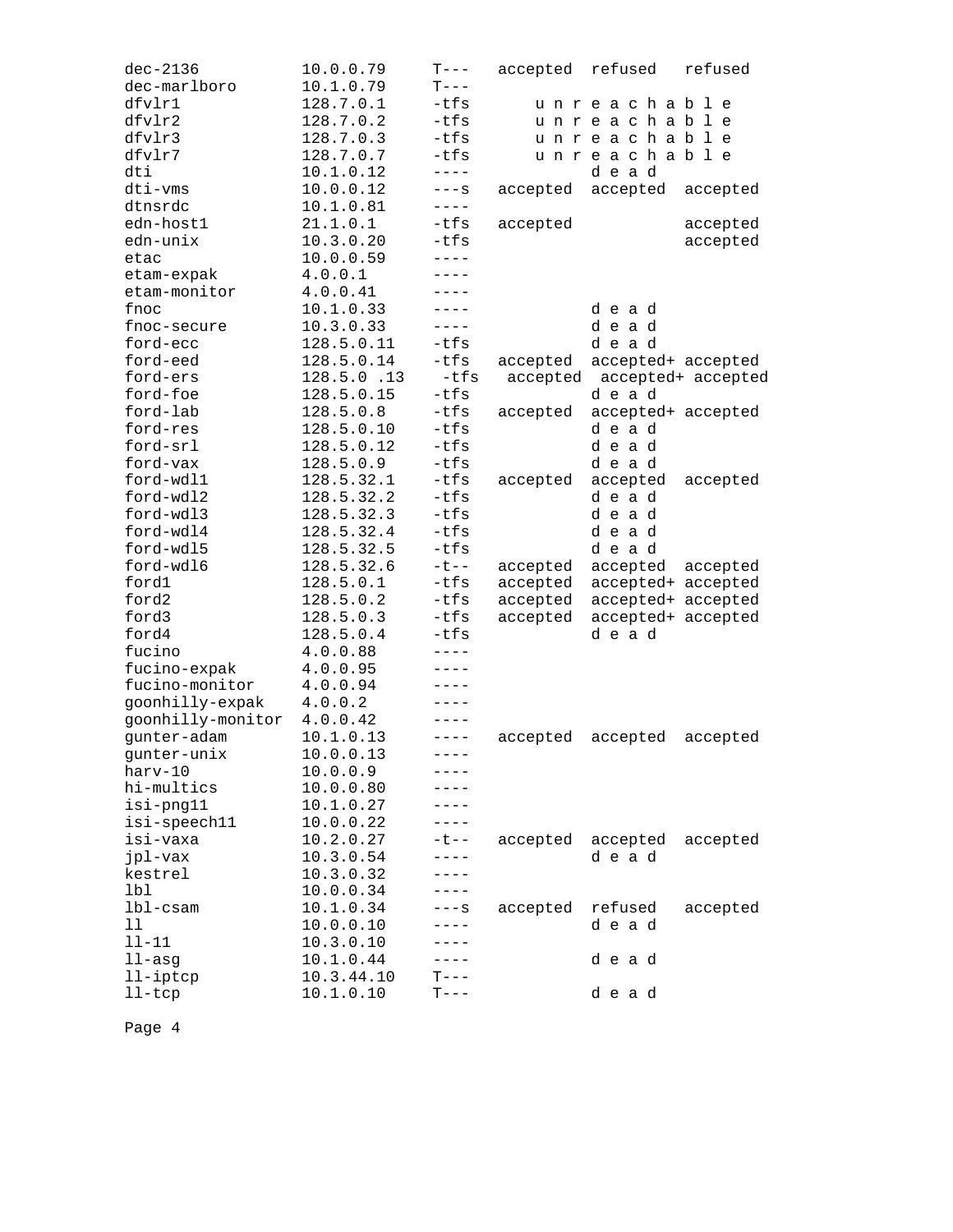| $dec-2136$        | 10.0.0.79  | $T---$    | accepted | refused                     | refused  |
|-------------------|------------|-----------|----------|-----------------------------|----------|
| dec-marlboro      | 10.1.0.79  | $T---$    |          |                             |          |
| dfvlr1            | 128.7.0.1  | $-tfs$    |          | unreachable                 |          |
| dfvlr2            | 128.7.0.2  | $-tfs$    |          | unreachable                 |          |
| dfvlr3            | 128.7.0.3  | -tfs      |          | unreachable                 |          |
| dfvlr7            | 128.7.0.7  | -tfs      |          | unreachable                 |          |
| dti               | 10.1.0.12  | $---$     |          | dead                        |          |
| dti-vms           | 10.0.0.12  | $---S$    | accepted | accepted                    | accepted |
| dtnsrdc           | 10.1.0.81  | $---$     |          |                             |          |
| edn-host1         | 21.1.0.1   | $-tfs$    | accepted |                             | accepted |
| edn-unix          | 10.3.0.20  | $-tfs$    |          |                             | accepted |
| etac              | 10.0.0.59  | $- - - -$ |          |                             |          |
| etam-expak        | 4.0.0.1    | $- - - -$ |          |                             |          |
| etam-monitor      | 4.0.0.41   | $----$    |          |                             |          |
| fnoc              | 10.1.0.33  | ----      |          | dead                        |          |
| fnoc-secure       | 10.3.0.33  | $---$     |          | dead                        |          |
| ford-ecc          | 128.5.0.11 | $-tfs$    |          | dead                        |          |
| ford-eed          | 128.5.0.14 | $-tfs$    | accepted | accepted+ accepted          |          |
| ford-ers          | 128.5.0.13 | -tfs      |          | accepted accepted+ accepted |          |
| ford-foe          | 128.5.0.15 | $-tfs$    |          | dead                        |          |
| ford-lab          | 128.5.0.8  | $-tfs$    | accepted | accepted+ accepted          |          |
| ford-res          | 128.5.0.10 | $-tfs$    |          | dead                        |          |
| ford-srl          | 128.5.0.12 | $-tfs$    |          | dead                        |          |
| ford-vax          | 128.5.0.9  | $-tfs$    |          | dead                        |          |
| ford-wdl1         | 128.5.32.1 | $-tfs$    | accepted | accepted                    | accepted |
| ford-wdl2         | 128.5.32.2 | $-tfs$    |          | dead                        |          |
| ford-wdl3         | 128.5.32.3 | $-tfs$    |          | dead                        |          |
| ford-wdl4         | 128.5.32.4 | $-tfs$    |          | dead                        |          |
| ford-wdl5         | 128.5.32.5 | $-tfs$    |          | dead                        |          |
| ford-wdl6         | 128.5.32.6 | $-t$ $-$  | accepted | accepted accepted           |          |
| fordl             | 128.5.0.1  | $-tfs$    | accepted | accepted+ accepted          |          |
| ford2             | 128.5.0.2  | $-tfs$    | accepted | accepted+ accepted          |          |
| ford3             | 128.5.0.3  | $-tfs$    | accepted | accepted+ accepted          |          |
| ford4             | 128.5.0.4  | $-tfs$    |          | dead                        |          |
| fucino            | 4.0.0.88   | $- - - -$ |          |                             |          |
| fucino-expak      | 4.0.0.95   | $- - - -$ |          |                             |          |
| fucino-monitor    | 4.0.0.94   | $- - - -$ |          |                             |          |
| goonhilly-expak   | 4.0.0.2    | $----$    |          |                             |          |
| goonhilly-monitor | 4.0.0.42   | ----      |          |                             |          |
| qunter-adam       | 10.1.0.13  | $---$     | accepted | accepted                    | accepted |
| qunter-unix       | 10.0.0.13  | $- - - -$ |          |                             |          |
| harv-10           | 10.0.0.9   | ----      |          |                             |          |
| hi-multics        | 10.0.0.80  |           |          |                             |          |
| isi-png11         | 10.1.0.27  | ----      |          |                             |          |
| isi-speech11      | 10.0.0.22  | ----      |          |                             |          |
| isi-vaxa          | 10.2.0.27  | ーセーー      | accepted | accepted                    | accepted |
| jpl-vax           | 10.3.0.54  | $---$     |          | dead                        |          |
| kestrel           | 10.3.0.32  | $---$     |          |                             |          |
| 1 <sub>b1</sub>   | 10.0.0.34  | $- - - -$ |          |                             |          |
| $1b1-cs$ am       | 10.1.0.34  | $---S$    | accepted | refused                     | accepted |
|                   |            |           |          |                             |          |
| 11<br>$11 - 11$   | 10.0.0.10  | ----      |          | dead                        |          |
|                   | 10.3.0.10  |           |          |                             |          |
| $11 - asg$        | 10.1.0.44  | ----      |          | dead                        |          |
| 11-iptcp          | 10.3.44.10 | $T---$    |          |                             |          |
| $l$ l-t $cp$      | 10.1.0.10  | $T---$    |          | dead                        |          |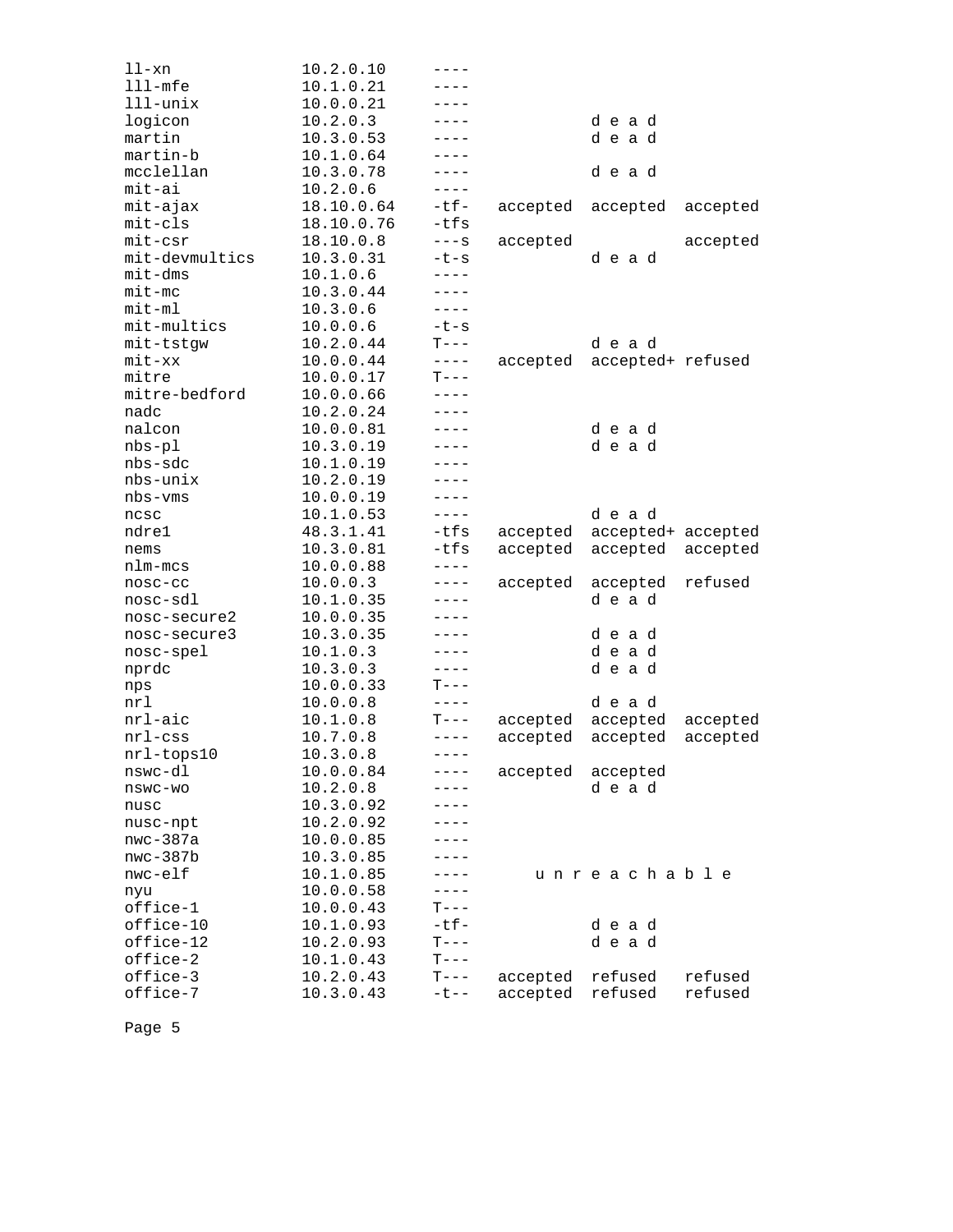| ll-xn                | 10.2.0.10  | ----        |          |                    |          |
|----------------------|------------|-------------|----------|--------------------|----------|
| $lll$ -mfe           | 10.1.0.21  | - - - -     |          |                    |          |
| $111$ -unix          | 10.0.0.21  |             |          |                    |          |
| logicon              | 10.2.0.3   | ----        |          | dead               |          |
| martin               | 10.3.0.53  | ----        |          | dead               |          |
| martin-b             | 10.1.0.64  | ----        |          |                    |          |
| mcclellan            | 10.3.0.78  | ----        |          | dead               |          |
| $mit-ai$             | 10.2.0.6   | $---$       |          |                    |          |
| mit-ajax             | 18.10.0.64 | -tf-        | accepted | accepted           | accepted |
| $mit-cls$            | 18.10.0.76 | $-tfs$      |          |                    |          |
| $mit-csr$            | 18.10.0.8  | $---S$      | accepted |                    | accepted |
| mit-devmultics       | 10.3.0.31  | $-t-s$      |          | dead               |          |
| mit-dms              | 10.1.0.6   | $---$       |          |                    |          |
| $mit-mc$             | 10.3.0.44  | ----        |          |                    |          |
| $mit-m1$             | 10.3.0.6   | $---$       |          |                    |          |
| mit-multics          | 10.0.0.6   | $-t-s$      |          |                    |          |
| mit-tstgw            | 10.2.0.44  | $T---$      |          | dead               |          |
| $mit$ - $xx$         | 10.0.0.44  | $- - - -$   | accepted | accepted+ refused  |          |
| mitre                | 10.0.0.17  | $T---$      |          |                    |          |
| mitre-bedford        | 10.0.0.66  | $---$       |          |                    |          |
| nadc                 | 10.2.0.24  | $- - - -$   |          |                    |          |
| nalcon               | 10.0.0.81  | ----        |          | dead               |          |
| $nbs-p1$             | 10.3.0.19  | $- - -$     |          | dead               |          |
| nbs-sdc              | 10.1.0.19  | ----        |          |                    |          |
| nbs-unix             | 10.2.0.19  | ----        |          |                    |          |
| nbs-vms              | 10.0.0.19  | ----        |          |                    |          |
| ncsc                 | 10.1.0.53  | $---$       |          | dead               |          |
| ndre1                | 48.3.1.41  | -tfs        | accepted | accepted+ accepted |          |
| nems                 | 10.3.0.81  | $-tfs$      | accepted | accepted           | accepted |
| nlm-mcs              | 10.0.0.88  | $---$       |          |                    |          |
| nosc-cc              | 10.0.0.3   | ----        | accepted | accepted           | refused  |
| nosc-sdl             | 10.1.0.35  | ----        |          | dead               |          |
| nosc-secure2         | 10.0.0.35  |             |          |                    |          |
| nosc-secure3         | 10.3.0.35  | ----        |          | dead               |          |
| nosc-spel            | 10.1.0.3   | $- - - -$   |          | dead               |          |
| nprdc                | 10.3.0.3   | ----        |          | dead               |          |
| nps                  | 10.0.0.33  | $T---$      |          |                    |          |
| nrl                  | 10.0.0.8   | $- - - - -$ |          | dead               |          |
| nrl-aic              | 10.1.0.8   | $T---$      | accepted | accepted           | accepted |
| $nrl$ - $\text{css}$ | 10.7.0.8   | $---$       | accepted | accepted           | accepted |
| nrl-tops10           | 10.3.0.8   | $- - - -$   |          |                    |          |
| nswc-dl              | 10.0.0.84  | ----        | accepted | accepted           |          |
| nswc-wo              | 10.2.0.8   |             |          | dead               |          |
| nusc                 | 10.3.0.92  |             |          |                    |          |
| nusc-npt             | 10.2.0.92  |             |          |                    |          |
| $nwc-387a$           | 10.0.0.85  | - - - -     |          |                    |          |
| $nwc-387b$           | 10.3.0.85  | ----        |          |                    |          |
| nwc-elf              | 10.1.0.85  | ----        |          | unreachable        |          |
| nyu                  | 10.0.0.58  | $---$       |          |                    |          |
| office-1             | 10.0.0.43  | $T---$      |          |                    |          |
| office-10            | 10.1.0.93  | $-tf-$      |          | dead               |          |
| office-12            | 10.2.0.93  | $T---$      |          | dead               |          |
| office-2             | 10.1.0.43  | $T---$      |          |                    |          |
| office-3             | 10.2.0.43  | $T---$      | accepted | refused            | refused  |
| office-7             | 10.3.0.43  | $-t$ $-$    | accepted | refused            | refused  |
|                      |            |             |          |                    |          |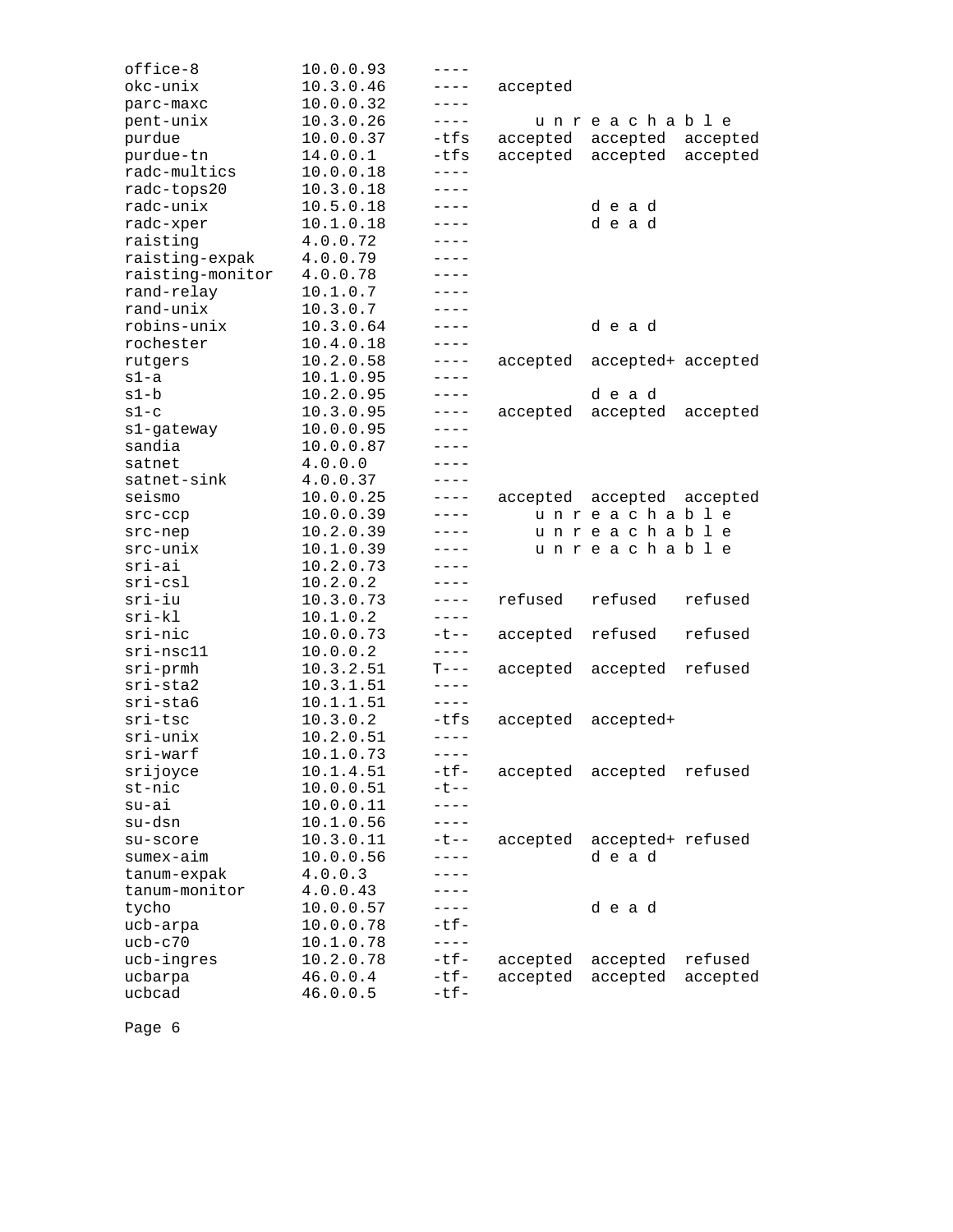| office-8                     | 10.0.0.93 | $---$       |                   |                    |          |
|------------------------------|-----------|-------------|-------------------|--------------------|----------|
| okc-unix                     | 10.3.0.46 | $---$       | accepted          |                    |          |
| parc-maxc                    | 10.0.0.32 | ----        |                   |                    |          |
| pent-unix                    | 10.3.0.26 |             |                   | unreachable        |          |
| purdue                       | 10.0.0.37 | -tfs        | accepted accepted |                    | accepted |
| purdue-tn                    | 14.0.0.1  | $-tfs$      | accepted          | accepted           | accepted |
| radc-multics                 | 10.0.0.18 | $- - - - -$ |                   |                    |          |
| radc-tops20                  | 10.3.0.18 | ----        |                   |                    |          |
| radc-unix                    | 10.5.0.18 | $- - - -$   |                   | dead               |          |
| radc-xper                    | 10.1.0.18 | $- - - -$   |                   | dead               |          |
| raisting                     | 4.0.0.72  | $- - - -$   |                   |                    |          |
| raisting-expak               | 4.0.0.79  | $- - - -$   |                   |                    |          |
| raisting-monitor             | 4.0.0.78  | ----        |                   |                    |          |
| rand-relay                   | 10.1.0.7  | ----        |                   |                    |          |
| rand-unix                    | 10.3.0.7  | $- - - -$   |                   |                    |          |
| robins-unix                  | 10.3.0.64 | ----        |                   | dead               |          |
| rochester                    | 10.4.0.18 | $---$       |                   |                    |          |
| rutgers                      | 10.2.0.58 | $- - - - -$ | accepted          | accepted+ accepted |          |
| s1-a                         | 10.1.0.95 |             |                   |                    |          |
| s1-b                         | 10.2.0.95 | $---$       |                   | dead               |          |
| $s1-c$                       | 10.3.0.95 | $- - - - -$ | accepted          | accepted           | accepted |
| s1-gateway                   | 10.0.0.95 | ----        |                   |                    |          |
| sandia                       | 10.0.0.87 | ----        |                   |                    |          |
| satnet                       | 4.0.0.0   | ----        |                   |                    |          |
| satnet-sink                  | 4.0.0.37  | ----        |                   |                    |          |
| seismo                       | 10.0.0.25 | $---$       | accepted          | accepted           | accepted |
| $src-cep$                    | 10.0.0.39 | $---$       |                   | unreachable        |          |
| src-nep                      | 10.2.0.39 | ----        |                   | unreachable        |          |
| src-unix                     | 10.1.0.39 | ----        |                   | unreachable        |          |
| sri-ai                       | 10.2.0.73 | $- - - -$   |                   |                    |          |
| sri-csl                      | 10.2.0.2  | $---$       |                   |                    |          |
| sri-iu                       | 10.3.0.73 | $---$       | refused           | refused            | refused  |
| $sri-kl$                     | 10.1.0.2  | $- - - - -$ |                   |                    |          |
| sri-nic                      | 10.0.0.73 | $-t$ $-$    | accepted          | refused            | refused  |
| $sri-nsc11$                  | 10.0.0.2  | $- - - - -$ |                   |                    |          |
| $sri$ -prmh                  | 10.3.2.51 | $T---$      | accepted          | accepted           | refused  |
| $sri$ -sta $2$               | 10.3.1.51 | $---$       |                   |                    |          |
| sri-sta6                     | 10.1.1.51 | $- - - -$   |                   |                    |          |
| sri-tsc                      | 10.3.0.2  | -tfs        | accepted          | accepted+          |          |
| sri-unix                     | 10.2.0.51 | $---$       |                   |                    |          |
| sri-warf                     | 10.1.0.73 | $- - - -$   |                   |                    |          |
| srijoyce                     | 10.1.4.51 | $-tf-$      | accepted          | accepted           | refused  |
| st-nic                       | 10.0.0.51 | $-t$ $-$    |                   |                    |          |
| su-ai                        | 10.0.0.11 | $---$       |                   |                    |          |
| su-dsn                       | 10.1.0.56 | $- - - - -$ |                   |                    |          |
| su-score                     | 10.3.0.11 | $-t$ $-$    | accepted          | accepted+ refused  |          |
| sumex-aim                    | 10.0.0.56 | $---$       |                   | dead               |          |
|                              | 4.0.0.3   | $----$      |                   |                    |          |
| tanum-expak<br>tanum-monitor | 4.0.0.43  | $---$       |                   |                    |          |
|                              |           | $---$       |                   |                    |          |
| tycho                        | 10.0.0.57 | $-tf-$      |                   | dead               |          |
| ucb-arpa                     | 10.0.0.78 | $- - - - -$ |                   |                    |          |
| $ucb-c70$                    | 10.1.0.78 | $-tf-$      |                   |                    | refused  |
| ucb-ingres                   | 10.2.0.78 |             | accepted          | accepted           |          |
| ucbarpa                      | 46.0.0.4  | $-tf-$      | accepted          | accepted           | accepted |
| ucbcad                       | 46.0.0.5  | $-tf-$      |                   |                    |          |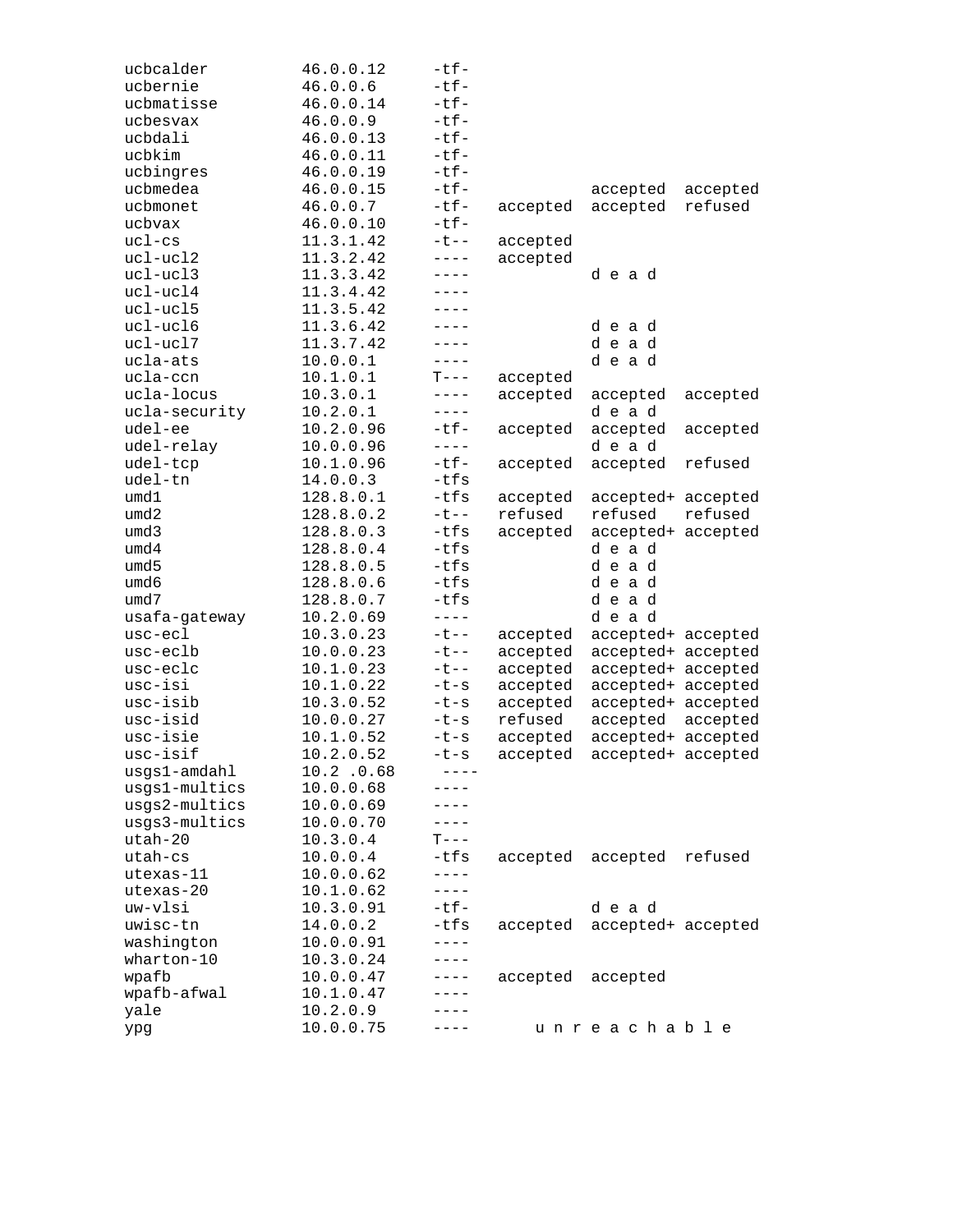| ucbcalder                | 46.0.0.12              | -tf-        |          |                    |          |
|--------------------------|------------------------|-------------|----------|--------------------|----------|
| ucbernie                 | 46.0.0.6               | $-tf-$      |          |                    |          |
| ucbmatisse               | 46.0.0.14              | $-tf-$      |          |                    |          |
| ucbesvax                 | 46.0.0.9               | $-tf-$      |          |                    |          |
| ucbdali                  | 46.0.0.13              | $-tf-$      |          |                    |          |
| ucbkim                   | 46.0.0.11              | $-tf-$      |          |                    |          |
| ucbingres                | 46.0.0.19              | $-tf-$      |          |                    |          |
| ucbmedea                 | 46.0.0.15              | $-tf-$      |          | accepted           | accepted |
| ucbmonet                 | 46.0.0.7               | $-tf-$      | accepted | accepted           | refused  |
| ucbvax                   | 46.0.0.10              | $-tf-$      |          |                    |          |
| $uc1-cs$                 | 11.3.1.42              | $-t$ $-$    | accepted |                    |          |
| ucl-ucl2                 | 11.3.2.42              | $---$       | accepted |                    |          |
| $uc1 - ucl3$             | 11.3.3.42              | $- - - -$   |          | dead               |          |
| ucl-ucl4                 | 11.3.4.42              | ----        |          |                    |          |
| ucl-ucl5                 | 11.3.5.42              | $- - - -$   |          |                    |          |
| ucl-ucl6                 | 11.3.6.42              | ----        |          | dead               |          |
| ucl-ucl7                 | 11.3.7.42              | ----        |          | dead               |          |
| ucla-ats                 | 10.0.0.1               | ----        |          | dead               |          |
| ucla-ccn                 | 10.1.0.1               | $T---$      | accepted |                    |          |
| ucla-locus               | 10.3.0.1               | $---$       | accepted | accepted           | accepted |
| ucla-security            | 10.2.0.1               | ----        |          | dead               |          |
| udel-ee                  | 10.2.0.96              | $-t$ f-     | accepted | accepted           | accepted |
| udel-relay               | 10.0.0.96              | $- - - -$   |          | dead               |          |
| udel-tcp                 | 10.1.0.96              | $-tf-$      | accepted | accepted           | refused  |
| udel-tn                  | 14.0.0.3               | -tfs        |          |                    |          |
| umd1                     | 128.8.0.1              | $-tfs$      | accepted | accepted+ accepted |          |
| umd2                     | 128.8.0.2              | $-t$ $-$    | refused  | refused            | refused  |
| umd3                     | 128.8.0.3              | $-tfs$      | accepted | accepted+ accepted |          |
| umd4                     | 128.8.0.4              | $-tfs$      |          | dead               |          |
| umd5                     | 128.8.0.5              | $-tfs$      |          | dead               |          |
| umd6                     | 128.8.0.6              | $-tfs$      |          | dead               |          |
| umd7                     | 128.8.0.7              | $-tfs$      |          | dead               |          |
|                          | 10.2.0.69              | $- - - - -$ |          | dead               |          |
| usafa-gateway<br>usc-ecl | 10.3.0.23              | $-t$ $-$    |          |                    |          |
| usc-eclb                 | 10.0.0.23              | $-t$ $-$    | accepted | accepted+ accepted |          |
|                          | 10.1.0.23              |             | accepted | accepted+ accepted |          |
| usc-eclc<br>usc-isi      |                        | $-t$ $-$    | accepted | accepted+ accepted |          |
| usc-isib                 | 10.1.0.22<br>10.3.0.52 | $-t-s$      | accepted | accepted+ accepted |          |
|                          |                        | $-t-s$      | accepted | accepted+ accepted |          |
| usc-isid                 | 10.0.0.27              | $-t-s$      | refused  | accepted           | accepted |
| usc-isie                 | 10.1.0.52              | $-t-s$      | accepted | accepted+ accepted |          |
| usc-isif                 | 10.2.0.52              | -t-s        | accepted | accepted+ accepted |          |
| usgs1-amdahl             | $10.2$ .0.68           |             |          |                    |          |
| usgs1-multics            | 10.0.0.68              | - - - -     |          |                    |          |
| usgs2-multics            | 10.0.0.69              | ----        |          |                    |          |
| usgs3-multics            | 10.0.0.70              | $---$       |          |                    |          |
| $utah-20$                | 10.3.0.4               | $T---$      |          |                    |          |
| utah-cs                  | 10.0.0.4               | $-tfs$      | accepted | accepted           | refused  |
| utexas-11                | 10.0.0.62              | $---$       |          |                    |          |
| utexas-20                | 10.1.0.62              | $---$       |          |                    |          |
| uw-vlsi                  | 10.3.0.91              | $-tf-$      |          | dead               |          |
| uwisc-tn                 | 14.0.0.2               | $-tfs$      | accepted | accepted+ accepted |          |
| washington               | 10.0.0.91              | $----$      |          |                    |          |
| wharton-10               | 10.3.0.24              | ----        |          |                    |          |
| wpafb                    | 10.0.0.47              | $---$       | accepted | accepted           |          |
| wpafb-afwal              | 10.1.0.47              | ----        |          |                    |          |
| yale                     | 10.2.0.9               | - - - -     |          |                    |          |
| ypg                      | 10.0.0.75              |             |          | unreachable        |          |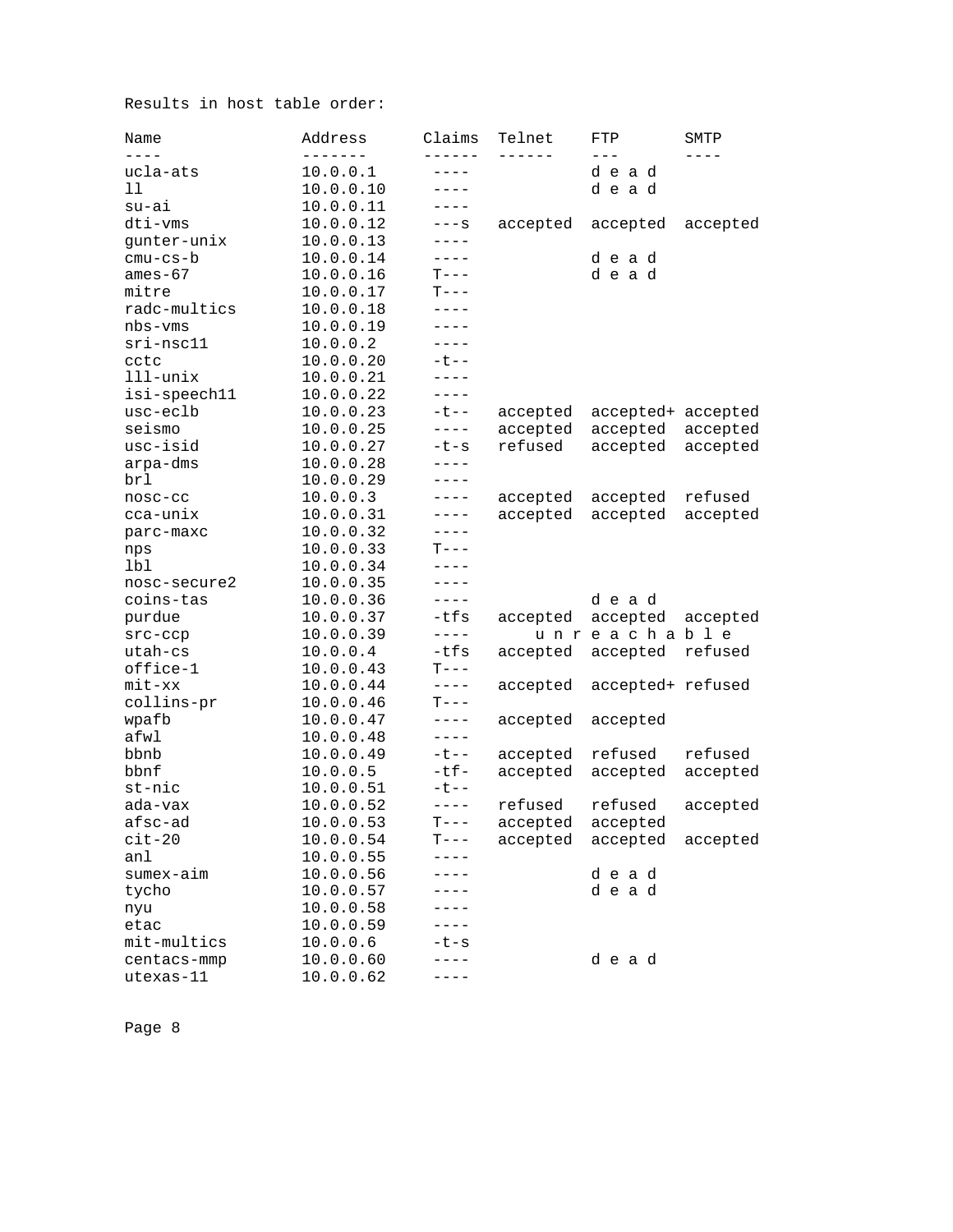Results in host table order:

| Name<br>$- - - -$ | Address   | Claims<br>- - - - - -    | Telnet            | FTP<br>$- - -$     | SMTP<br>$- - - -$ |
|-------------------|-----------|--------------------------|-------------------|--------------------|-------------------|
| ucla-ats          | 10.0.0.1  | ----                     |                   | dead               |                   |
| 11                | 10.0.0.10 | $----$                   |                   | dead               |                   |
| su-ai             | 10.0.0.11 | $---$                    |                   |                    |                   |
| dti-vms           | 10.0.0.12 | $---S$                   | accepted          | accepted           | accepted          |
| gunter-unix       | 10.0.0.13 | $---$                    |                   |                    |                   |
| $cmu-cs-b$        | 10.0.0.14 | $---$                    |                   | dead               |                   |
| ames-67           | 10.0.0.16 | $T---$                   |                   | dead               |                   |
| mitre             | 10.0.0.17 | $T---$                   |                   |                    |                   |
| radc-multics      | 10.0.0.18 | $- - - -$                |                   |                    |                   |
| nbs-vms           | 10.0.0.19 | $---$                    |                   |                    |                   |
| sri-nsc11         | 10.0.0.2  | $---$                    |                   |                    |                   |
| cctc              | 10.0.0.20 | $-t$ --                  |                   |                    |                   |
| $111$ -unix       | 10.0.0.21 | ----                     |                   |                    |                   |
| isi-speech11      | 10.0.0.22 | $---$                    |                   |                    |                   |
| usc-eclb          | 10.0.0.23 | $-t$ $-$                 | accepted          | accepted+ accepted |                   |
| seismo            | 10.0.0.25 | $---$                    | accepted          | accepted           | accepted          |
| usc-isid          | 10.0.0.27 | $-t-s$                   | refused           | accepted           | accepted          |
| arpa-dms          | 10.0.0.28 | $---$                    |                   |                    |                   |
| brl               | 10.0.0.29 | $---$                    |                   |                    |                   |
| nosc-cc           | 10.0.0.3  | $---$                    | accepted          | accepted           | refused           |
| cca-unix          | 10.0.0.31 | $---$                    | accepted          | accepted           | accepted          |
| parc-maxc         | 10.0.0.32 | $---$                    |                   |                    |                   |
| nps               | 10.0.0.33 | $T---$                   |                   |                    |                   |
| lbl               | 10.0.0.34 | $- - - -$                |                   |                    |                   |
| nosc-secure2      | 10.0.0.35 | ----                     |                   |                    |                   |
| coins-tas         | 10.0.0.36 | $---$                    |                   | dead               |                   |
| purdue            | 10.0.0.37 | -tfs                     | accepted          | accepted           | accepted          |
| $src-ccp$         | 10.0.0.39 | $---$                    |                   | unreachable        |                   |
| utah-cs           | 10.0.0.4  | $-tfs$                   | accepted          | accepted           | refused           |
| office-1          | 10.0.0.43 | $T---$                   |                   |                    |                   |
| $mit$ - $xx$      | 10.0.0.44 | $---$                    | accepted          | accepted+ refused  |                   |
| collins-pr        | 10.0.0.46 | $T---$                   |                   |                    |                   |
| wpafb             | 10.0.0.47 | $---$                    | accepted          | accepted           |                   |
| afwl              | 10.0.0.48 |                          |                   |                    |                   |
| bbnb              | 10.0.0.49 | $-t$ $-$                 | accepted          | refused            | refused           |
| bbnf              | 10.0.0.5  | $-tf-$                   | accepted          | accepted           | accepted          |
| st-nic            | 10.0.0.51 | $-t$ $-$                 |                   |                    |                   |
| ada-vax           | 10.0.0.52 | $---$                    | refused           | refused            | accepted          |
| afsc-ad           | 10.0.0.53 | $\mathbf{T}--\mathbf{-}$ | accepted accepted |                    |                   |
| $cit-20$          | 10.0.0.54 | $T---$                   | accepted accepted |                    | accepted          |
| an1               | 10.0.0.55 |                          |                   |                    |                   |
| sumex-aim         | 10.0.0.56 | - - - -                  |                   | dead               |                   |
| tycho             | 10.0.0.57 |                          |                   | dead               |                   |
| nyu               | 10.0.0.58 | $- - -$                  |                   |                    |                   |
| etac              | 10.0.0.59 | ----                     |                   |                    |                   |
| mit-multics       | 10.0.0.6  | -t-s                     |                   |                    |                   |
| centacs-mmp       | 10.0.0.60 | $---$                    |                   | dead               |                   |
| utexas-11         | 10.0.0.62 | $-- - -$                 |                   |                    |                   |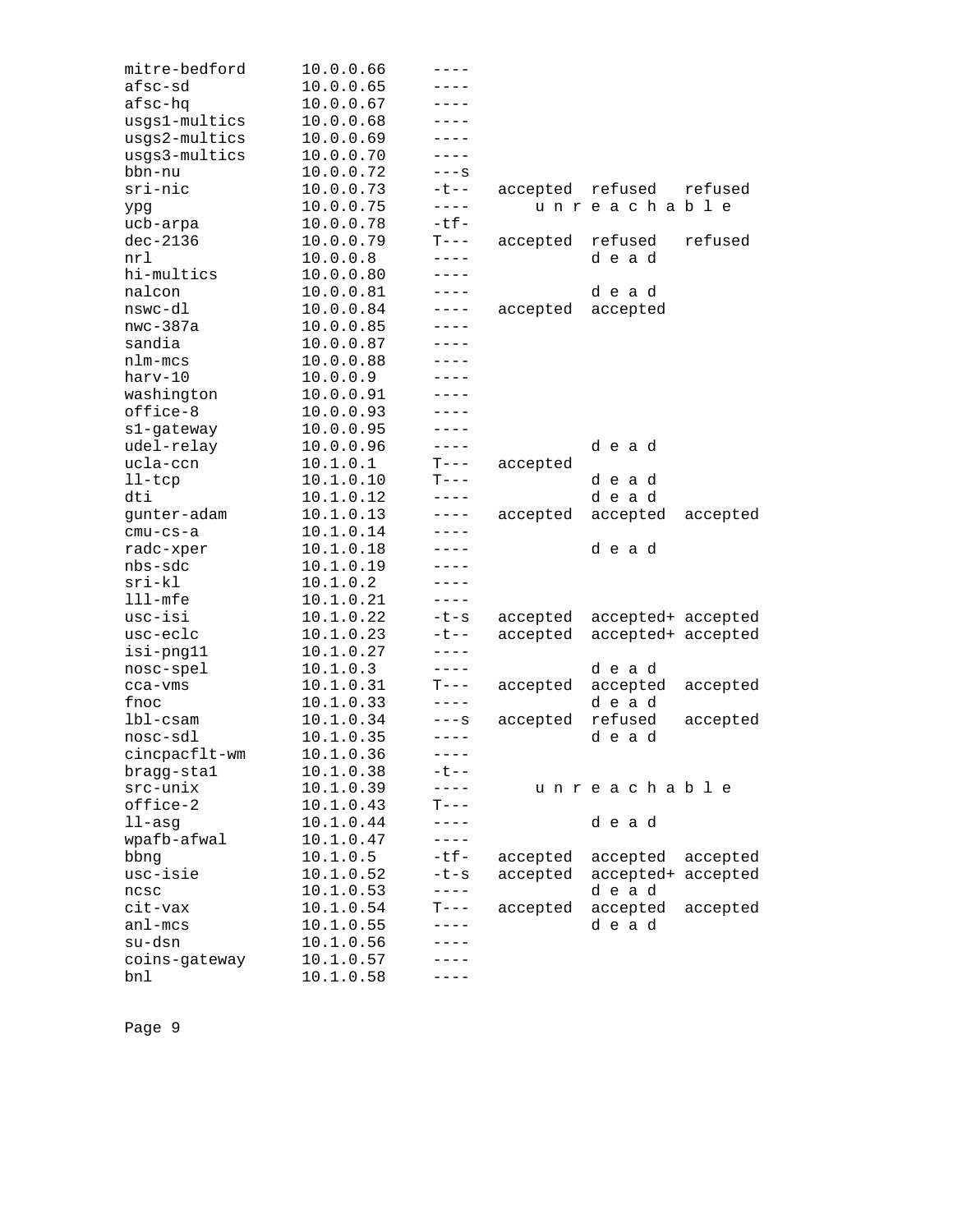| mitre-bedford | 10.0.0.66 | ----        |          |                    |          |
|---------------|-----------|-------------|----------|--------------------|----------|
| afsc-sd       | 10.0.0.65 | ----        |          |                    |          |
| afsc-hq       | 10.0.0.67 | - - - -     |          |                    |          |
| usgs1-multics | 10.0.0.68 |             |          |                    |          |
| usgs2-multics | 10.0.0.69 | ----        |          |                    |          |
| usgs3-multics | 10.0.0.70 | ----        |          |                    |          |
| bbn-nu        | 10.0.0.72 | $---S$      |          |                    |          |
| sri-nic       | 10.0.0.73 | $-t$ $-$    | accepted | refused            | refused  |
| ypg           | 10.0.0.75 | $- - - - -$ |          | unreachable        |          |
| ucb-arpa      | 10.0.0.78 | $-tf-$      |          |                    |          |
| $dec-2136$    | 10.0.0.79 | $T---$      | accepted | refused            | refused  |
| nrl           | 10.0.0.8  | ----        |          | dead               |          |
| hi-multics    | 10.0.0.80 | $---$       |          |                    |          |
| nalcon        | 10.0.0.81 | ----        |          | dead               |          |
| nswc-dl       | 10.0.0.84 | $---$       | accepted | accepted           |          |
| $nwc-387a$    | 10.0.0.85 | ----        |          |                    |          |
| sandia        | 10.0.0.87 | ----        |          |                    |          |
| nlm-mcs       | 10.0.0.88 | $- - - -$   |          |                    |          |
| harv-10       | 10.0.0.9  | $---$       |          |                    |          |
|               | 10.0.0.91 | ----        |          |                    |          |
| washington    |           | ----        |          |                    |          |
| office-8      | 10.0.0.93 |             |          |                    |          |
| s1-gateway    | 10.0.0.95 | ----        |          |                    |          |
| udel-relay    | 10.0.0.96 | $---$       |          | dead               |          |
| ucla-ccn      | 10.1.0.1  | $T---$      | accepted |                    |          |
| $11-tcp$      | 10.1.0.10 | T---        |          | dead               |          |
| dti           | 10.1.0.12 | $---$       |          | dead               |          |
| gunter-adam   | 10.1.0.13 | $---$       | accepted | accepted           | accepted |
| $cmu-cs-a$    | 10.1.0.14 | ----        |          |                    |          |
| radc-xper     | 10.1.0.18 | ----        |          | dead               |          |
| nbs-sdc       | 10.1.0.19 | ----        |          |                    |          |
| $sri-kl$      | 10.1.0.2  | ----        |          |                    |          |
| $111 - mfe$   | 10.1.0.21 | $---$       |          |                    |          |
| usc-isi       | 10.1.0.22 | $-t-s$      | accepted | accepted+ accepted |          |
| usc-eclc      | 10.1.0.23 | ーセーー        | accepted | accepted+ accepted |          |
| isi-png11     | 10.1.0.27 | ----        |          |                    |          |
| nosc-spel     | 10.1.0.3  | $---$       |          | dead               |          |
| cca-vms       | 10.1.0.31 | $T---$      | accepted | accepted           | accepted |
| fnoc          | 10.1.0.33 | $---$       |          | dead               |          |
| $1b1-cs$ am   | 10.1.0.34 | $---S$      | accepted | refused            | accepted |
| nosc-sdl      | 10.1.0.35 | $---$       |          | dead               |          |
| cincpacflt-wm | 10.1.0.36 | $- - - -$   |          |                    |          |
| bragg-stal    | 10.1.0.38 | ーセーー        |          |                    |          |
| $src-unix$    | 10.1.0.39 | $- - - -$   |          | unreachable        |          |
| office-2      | 10.1.0.43 | $T---$      |          |                    |          |
| $11 - asg$    | 10.1.0.44 | $---$       |          | dead               |          |
| wpafb-afwal   | 10.1.0.47 | $---$       |          |                    |          |
| bbng          | 10.1.0.5  | $-tf-$      | accepted | accepted           | accepted |
| usc-isie      | 10.1.0.52 | $-t-s$      | accepted | accepted+          | accepted |
| ncsc          | 10.1.0.53 | $---$       |          | dead               |          |
| cit-vax       | 10.1.0.54 | $T---$      | accepted | accepted           | accepted |
| anl-mcs       | 10.1.0.55 | $---$       |          | dead               |          |
| su-dsn        | 10.1.0.56 |             |          |                    |          |
| coins-gateway | 10.1.0.57 |             |          |                    |          |
| bnl           | 10.1.0.58 | - - - -     |          |                    |          |
|               |           |             |          |                    |          |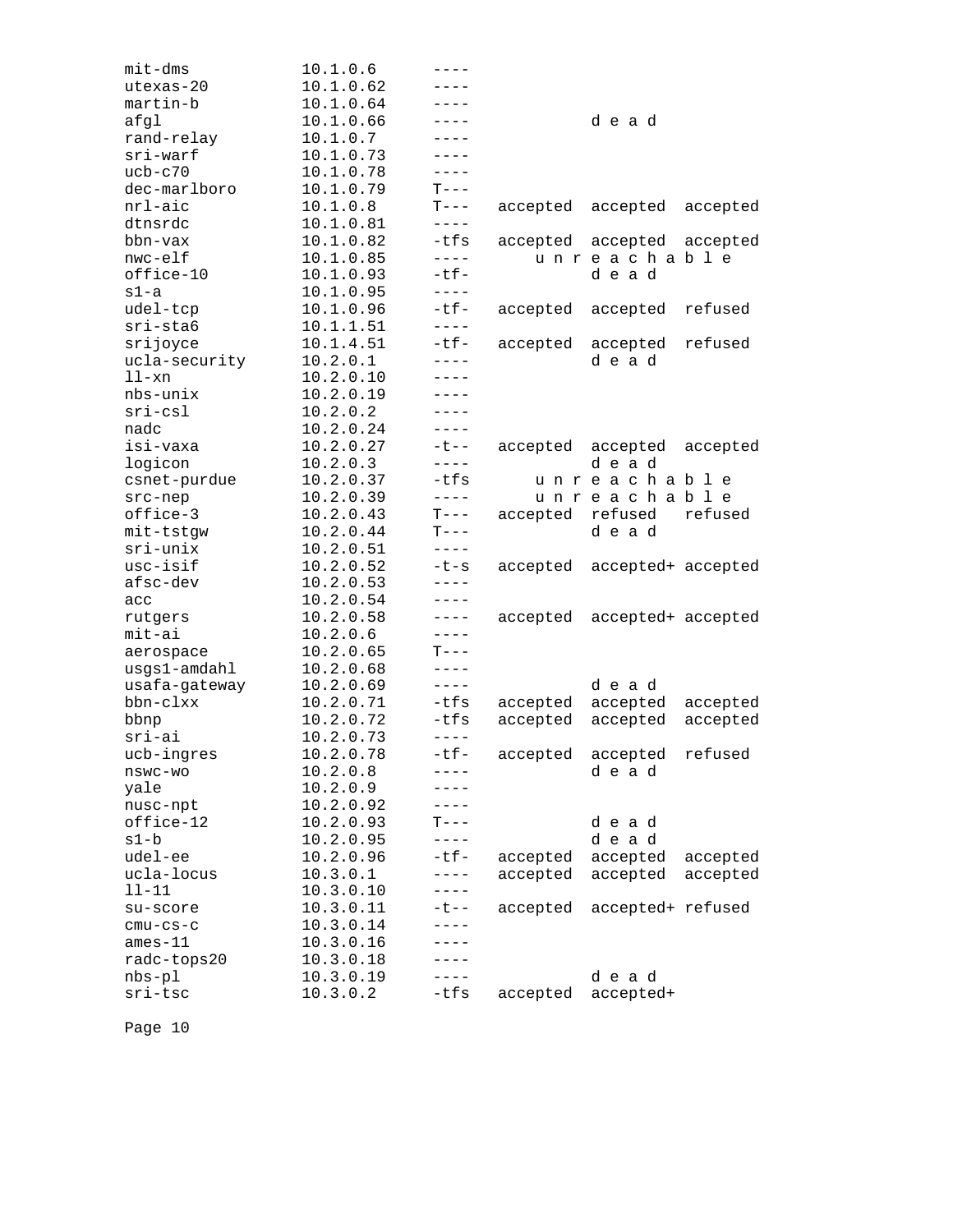| mit-dms       | 10.1.0.6  | ----                                                                                                                                                                                                                                                                                                                                                                                                                                                                                                       |                   |                             |          |
|---------------|-----------|------------------------------------------------------------------------------------------------------------------------------------------------------------------------------------------------------------------------------------------------------------------------------------------------------------------------------------------------------------------------------------------------------------------------------------------------------------------------------------------------------------|-------------------|-----------------------------|----------|
| utexas-20     | 10.1.0.62 | ----                                                                                                                                                                                                                                                                                                                                                                                                                                                                                                       |                   |                             |          |
| martin-b      | 10.1.0.64 | $---$                                                                                                                                                                                                                                                                                                                                                                                                                                                                                                      |                   |                             |          |
| afgl          | 10.1.0.66 | $- - - -$                                                                                                                                                                                                                                                                                                                                                                                                                                                                                                  |                   | dead                        |          |
| rand-relay    | 10.1.0.7  | $- - - -$                                                                                                                                                                                                                                                                                                                                                                                                                                                                                                  |                   |                             |          |
| sri-warf      | 10.1.0.73 | $---$                                                                                                                                                                                                                                                                                                                                                                                                                                                                                                      |                   |                             |          |
| $ucb-c70$     | 10.1.0.78 | $---$                                                                                                                                                                                                                                                                                                                                                                                                                                                                                                      |                   |                             |          |
| dec-marlboro  | 10.1.0.79 | $T---$                                                                                                                                                                                                                                                                                                                                                                                                                                                                                                     |                   |                             |          |
| nrl-aic       | 10.1.0.8  | $T---$                                                                                                                                                                                                                                                                                                                                                                                                                                                                                                     | accepted accepted |                             | accepted |
| dtnsrdc       | 10.1.0.81 | $- - - -$                                                                                                                                                                                                                                                                                                                                                                                                                                                                                                  |                   |                             |          |
| bbn-vax       | 10.1.0.82 | -tfs                                                                                                                                                                                                                                                                                                                                                                                                                                                                                                       |                   | accepted accepted accepted  |          |
| nwc-elf       | 10.1.0.85 | $---$                                                                                                                                                                                                                                                                                                                                                                                                                                                                                                      |                   | unreachable                 |          |
| office-10     | 10.1.0.93 | $-tf-$                                                                                                                                                                                                                                                                                                                                                                                                                                                                                                     |                   | dead                        |          |
| $s1-a$        | 10.1.0.95 | $---$                                                                                                                                                                                                                                                                                                                                                                                                                                                                                                      |                   |                             |          |
| udel-tcp      | 10.1.0.96 | $-tf-$                                                                                                                                                                                                                                                                                                                                                                                                                                                                                                     | accepted          | accepted                    | refused  |
| sri-sta6      | 10.1.1.51 | $- - - -$                                                                                                                                                                                                                                                                                                                                                                                                                                                                                                  |                   |                             |          |
| srijoyce      | 10.1.4.51 | $-tf-$                                                                                                                                                                                                                                                                                                                                                                                                                                                                                                     | accepted          | accepted                    | refused  |
| ucla-security | 10.2.0.1  | $---$                                                                                                                                                                                                                                                                                                                                                                                                                                                                                                      |                   | dead                        |          |
| ll-xn         | 10.2.0.10 | $- - - -$                                                                                                                                                                                                                                                                                                                                                                                                                                                                                                  |                   |                             |          |
| nbs-unix      | 10.2.0.19 | ----                                                                                                                                                                                                                                                                                                                                                                                                                                                                                                       |                   |                             |          |
| $sri-csl$     | 10.2.0.2  | $- - - -$                                                                                                                                                                                                                                                                                                                                                                                                                                                                                                  |                   |                             |          |
| nadc          | 10.2.0.24 | $- - - -$                                                                                                                                                                                                                                                                                                                                                                                                                                                                                                  |                   |                             |          |
| isi-vaxa      | 10.2.0.27 | $-t$ $-$                                                                                                                                                                                                                                                                                                                                                                                                                                                                                                   | accepted          | accepted                    | accepted |
| logicon       | 10.2.0.3  | $---$                                                                                                                                                                                                                                                                                                                                                                                                                                                                                                      |                   | dead                        |          |
| csnet-purdue  | 10.2.0.37 | -tfs                                                                                                                                                                                                                                                                                                                                                                                                                                                                                                       |                   | unreachable                 |          |
| src-nep       | 10.2.0.39 | $---$                                                                                                                                                                                                                                                                                                                                                                                                                                                                                                      |                   | unreachable                 |          |
| office-3      | 10.2.0.43 | $\mathbf{T}--% \begin{pmatrix} \mathbf{T} & \mathbf{T}% & \mathbf{T} & \mathbf{T}% & \mathbf{T} & \mathbf{T}% & \mathbf{T} & \mathbf{T} & \mathbf{T} \\ \mathbf{T} & \mathbf{T} & \mathbf{T} & \mathbf{T} & \mathbf{T} \\ \mathbf{T} & \mathbf{T} & \mathbf{T} & \mathbf{T} & \mathbf{T} \\ \mathbf{T} & \mathbf{T} & \mathbf{T} & \mathbf{T} \\ \mathbf{T} & \mathbf{T} & \mathbf{T} & \mathbf{T} \\ \mathbf{T} & \mathbf{T} & \mathbf{T} & \mathbf{T} \\ \mathbf{T} & \mathbf{T} & \mathbf{T} & \mathbf$ | accepted          | refused                     | refused  |
| mit-tstgw     | 10.2.0.44 | $T---$                                                                                                                                                                                                                                                                                                                                                                                                                                                                                                     |                   | dead                        |          |
| sri-unix      | 10.2.0.51 | $- - - - -$                                                                                                                                                                                                                                                                                                                                                                                                                                                                                                |                   |                             |          |
| usc-isif      | 10.2.0.52 | $-t-s$                                                                                                                                                                                                                                                                                                                                                                                                                                                                                                     |                   | accepted accepted+ accepted |          |
| afsc-dev      | 10.2.0.53 | $- - - -$                                                                                                                                                                                                                                                                                                                                                                                                                                                                                                  |                   |                             |          |
| acc           | 10.2.0.54 | $---$                                                                                                                                                                                                                                                                                                                                                                                                                                                                                                      |                   |                             |          |
| rutgers       | 10.2.0.58 | $---$                                                                                                                                                                                                                                                                                                                                                                                                                                                                                                      | accepted          | accepted+ accepted          |          |
| mit-ai        | 10.2.0.6  | $- - - -$                                                                                                                                                                                                                                                                                                                                                                                                                                                                                                  |                   |                             |          |
| aerospace     | 10.2.0.65 | $T---$                                                                                                                                                                                                                                                                                                                                                                                                                                                                                                     |                   |                             |          |
| usgs1-amdahl  | 10.2.0.68 | $- - - -$                                                                                                                                                                                                                                                                                                                                                                                                                                                                                                  |                   |                             |          |
| usafa-gateway | 10.2.0.69 | $- - - -$                                                                                                                                                                                                                                                                                                                                                                                                                                                                                                  |                   | dead                        |          |
| bbn-clxx      | 10.2.0.71 | -tfs                                                                                                                                                                                                                                                                                                                                                                                                                                                                                                       | accepted          | accepted                    | accepted |
| bbnp          | 10.2.0.72 | $-tfs$                                                                                                                                                                                                                                                                                                                                                                                                                                                                                                     | accepted          | accepted                    | accepted |
| sri-ai        | 10.2.0.73 | $- - - -$                                                                                                                                                                                                                                                                                                                                                                                                                                                                                                  |                   |                             |          |
| ucb-ingres    | 10.2.0.78 | $-tf-$                                                                                                                                                                                                                                                                                                                                                                                                                                                                                                     | accepted          | accepted                    | refused  |
| nswc-wo       | 10.2.0.8  | ----                                                                                                                                                                                                                                                                                                                                                                                                                                                                                                       |                   | dead                        |          |
| yale          | 10.2.0.9  |                                                                                                                                                                                                                                                                                                                                                                                                                                                                                                            |                   |                             |          |
| nusc-npt      | 10.2.0.92 |                                                                                                                                                                                                                                                                                                                                                                                                                                                                                                            |                   |                             |          |
| office-12     | 10.2.0.93 | $T---$                                                                                                                                                                                                                                                                                                                                                                                                                                                                                                     |                   | dead                        |          |
| s1-b          | 10.2.0.95 | $---$                                                                                                                                                                                                                                                                                                                                                                                                                                                                                                      |                   | dead                        |          |
| udel-ee       | 10.2.0.96 | $-tf-$                                                                                                                                                                                                                                                                                                                                                                                                                                                                                                     | accepted          | accepted                    | accepted |
| ucla-locus    | 10.3.0.1  | $---$                                                                                                                                                                                                                                                                                                                                                                                                                                                                                                      | accepted          | accepted                    | accepted |
| 11-11         | 10.3.0.10 | $---$                                                                                                                                                                                                                                                                                                                                                                                                                                                                                                      |                   |                             |          |
| su-score      | 10.3.0.11 | ーセーー                                                                                                                                                                                                                                                                                                                                                                                                                                                                                                       | accepted          | accepted+ refused           |          |
| $cmu-cs-c$    | 10.3.0.14 | ----                                                                                                                                                                                                                                                                                                                                                                                                                                                                                                       |                   |                             |          |
| $ames-11$     | 10.3.0.16 | $- - - -$                                                                                                                                                                                                                                                                                                                                                                                                                                                                                                  |                   |                             |          |
| radc-tops20   | 10.3.0.18 | - - - -                                                                                                                                                                                                                                                                                                                                                                                                                                                                                                    |                   |                             |          |
| $nbs-p1$      | 10.3.0.19 | $---$                                                                                                                                                                                                                                                                                                                                                                                                                                                                                                      |                   | dead                        |          |
| sri-tsc       | 10.3.0.2  | -tfs                                                                                                                                                                                                                                                                                                                                                                                                                                                                                                       | accepted          | accepted+                   |          |
|               |           |                                                                                                                                                                                                                                                                                                                                                                                                                                                                                                            |                   |                             |          |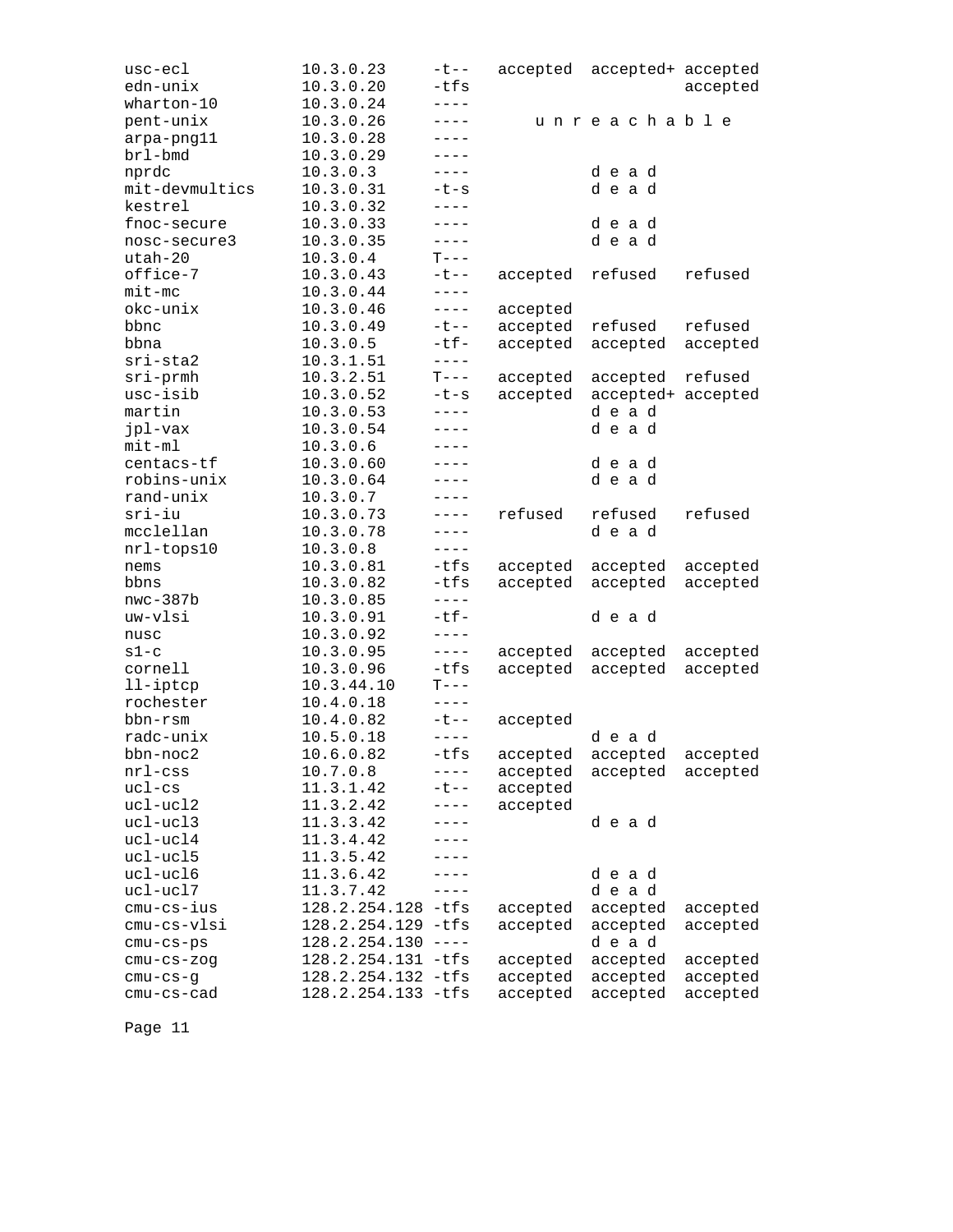| usc-ecl        | 10.3.0.23          | $-t$ $-$    |          | accepted accepted+ accepted |          |
|----------------|--------------------|-------------|----------|-----------------------------|----------|
| edn-unix       | 10.3.0.20          | $-tfs$      |          |                             | accepted |
| wharton-10     | 10.3.0.24          | $---$       |          |                             |          |
| pent-unix      | 10.3.0.26          | $---$       |          | unreachable                 |          |
| arpa-png11     | 10.3.0.28          | $---$       |          |                             |          |
| brl-bmd        | 10.3.0.29          | $---$       |          |                             |          |
| nprdc          | 10.3.0.3           | $---$       |          | dead                        |          |
| mit-devmultics | 10.3.0.31          | $-t-s$      |          | dead                        |          |
| kestrel        | 10.3.0.32          | $- - - - -$ |          |                             |          |
| fnoc-secure    | 10.3.0.33          | $---$       |          | dead                        |          |
| nosc-secure3   | 10.3.0.35          | $---$       |          | dead                        |          |
| utah-20        | 10.3.0.4           | $T---$      |          |                             |          |
| office-7       | 10.3.0.43          | $- t - -$   | accepted | refused                     | refused  |
| $mit$ -mc      | 10.3.0.44          | $- - - - -$ |          |                             |          |
| okc-unix       | 10.3.0.46          | $- - - -$   | accepted |                             |          |
| bbnc           | 10.3.0.49          | $-t$ $-$    | accepted | refused                     | refused  |
| bbna           | 10.3.0.5           | $-tf-$      | accepted | accepted                    | accepted |
| $sri-sta2$     | 10.3.1.51          | $- - - -$   |          |                             |          |
| $sri$ -prmh    | 10.3.2.51          | $T---$      | accepted | accepted                    | refused  |
| usc-isib       | 10.3.0.52          | $-t-s$      | accepted | accepted+ accepted          |          |
| martin         | 10.3.0.53          | $- - - -$   |          | dead                        |          |
| jpl-vax        | 10.3.0.54          | $---$       |          | dead                        |          |
| mit-ml         | 10.3.0.6           | $----$      |          |                             |          |
| centacs-tf     | 10.3.0.60          | $- - - -$   |          | dead                        |          |
| robins-unix    | 10.3.0.64          | ----        |          | dead                        |          |
| rand-unix      | 10.3.0.7           | $- - - -$   |          |                             |          |
| sri-iu         | 10.3.0.73          | $---$       | refused  | refused                     | refused  |
| mcclellan      | 10.3.0.78          | $---$       |          | dead                        |          |
| nrl-tops10     | 10.3.0.8           | $---$       |          |                             |          |
| nems           | 10.3.0.81          | -tfs        | accepted | accepted                    | accepted |
| bbns           | 10.3.0.82          | -tfs        | accepted | accepted                    | accepted |
| $nwc-387b$     | 10.3.0.85          | $- - - - -$ |          |                             |          |
| uw-vlsi        | 10.3.0.91          | $-tf-$      |          | dead                        |          |
| nusc           | 10.3.0.92          | $- - - -$   |          |                             |          |
| $s1-c$         | 10.3.0.95          | $- - - - -$ | accepted | accepted                    | accepted |
| cornell        | 10.3.0.96          | -tfs        | accepted | accepted                    | accepted |
| $11$ -iptcp    | 10.3.44.10         | $T---$      |          |                             |          |
| rochester      | 10.4.0.18          | $- - - -$   |          |                             |          |
| bbn-rsm        | 10.4.0.82          | $-t$ $-$    | accepted |                             |          |
| radc-unix      | 10.5.0.18          | $---$       |          | dead                        |          |
| bbn-noc2       | 10.6.0.82          | $-tfs$      | accepted | accepted                    | accepted |
| $nrl$ -css     | 10.7.0.8           | $- - - - -$ | accepted | accepted                    | accepted |
| $uc1-cs$       | 11.3.1.42          | $-t$ $-$    | accepted |                             |          |
| ucl-ucl2       | 11.3.2.42          | $---$       | accepted |                             |          |
| ucl-ucl3       | 11.3.3.42          | ----        |          | dead                        |          |
| ucl-ucl4       | 11.3.4.42          |             |          |                             |          |
| ucl-ucl5       | 11.3.5.42          |             |          |                             |          |
| ucl-ucl6       | 11.3.6.42          | $---$       |          | dead                        |          |
| ucl-ucl7       | 11.3.7.42          | $---$       |          | dead                        |          |
| $cmu-cs-ius$   | 128.2.254.128 -tfs |             | accepted | accepted                    | accepted |
| cmu-cs-vlsi    | 128.2.254.129      | -tfs        | accepted | accepted                    | accepted |
| $cmu-cs-ps$    | 128.2.254.130      | $- - - -$   |          | dead                        |          |
| $cmu-cs-zog$   | 128.2.254.131 -tfs |             | accepted | accepted                    | accepted |
| $cmu-cs-g$     | 128.2.254.132 -tfs |             | accepted | accepted                    | accepted |
| cmu-cs-cad     | 128.2.254.133 -tfs |             | accepted | accepted                    | accepted |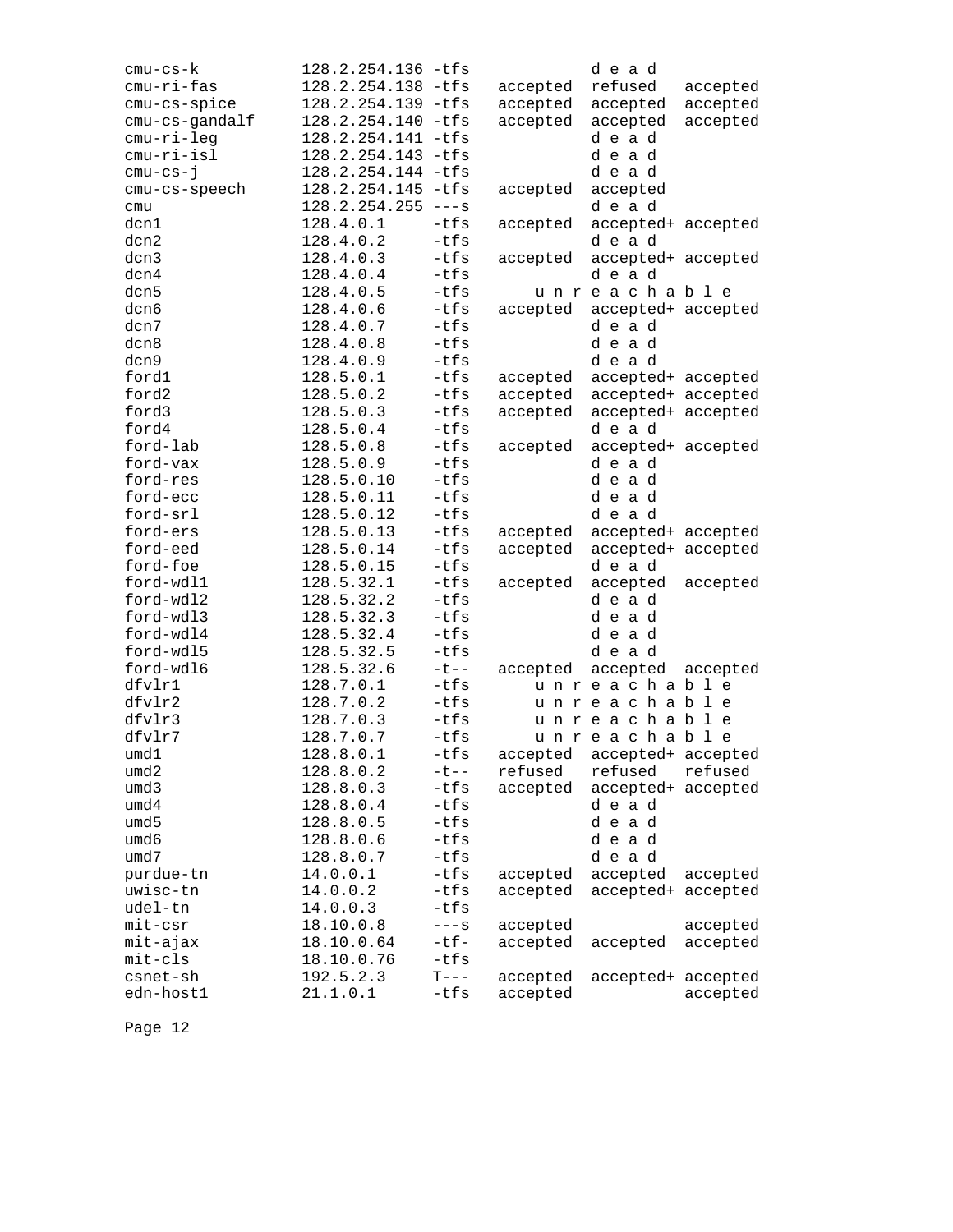| $cmu-cs-k$<br>cmu-ri-fas | 128.2.254.136 -tfs<br>128.2.254.138 -tfs |                  | accepted | dead<br>refused             | accepted |
|--------------------------|------------------------------------------|------------------|----------|-----------------------------|----------|
| cmu-cs-spice             | 128.2.254.139 -tfs                       |                  | accepted | accepted                    | accepted |
| cmu-cs-gandalf           | 128.2.254.140 -tfs                       |                  | accepted | accepted                    | accepted |
| cmu-ri-leg               | 128.2.254.141 -tfs                       |                  |          | dead                        |          |
| cmu-ri-isl               | 128.2.254.143 -tfs                       |                  |          | dead                        |          |
| $cmu-cs-j$               | 128.2.254.144 -tfs                       |                  |          | dead                        |          |
| cmu-cs-speech            | 128.2.254.145 -tfs                       |                  | accepted | accepted                    |          |
| cmu                      | 128.2.254.255                            | $---S$           |          | dead                        |          |
| dcn1                     | 128.4.0.1                                | -tfs             | accepted | accepted+ accepted          |          |
| dcn2                     | 128.4.0.2                                | $-tfs$           |          | dead                        |          |
| dcn3                     | 128.4.0.3                                | $-tfs$           | accepted | accepted+ accepted          |          |
| dcn4                     | 128.4.0.4                                | $-tfs$           |          | dead                        |          |
| dcn5                     | 128.4.0.5                                | $-tfs$           |          | unreachable                 |          |
| dcn6                     | 128.4.0.6                                | $-tfs$           | accepted | accepted+ accepted          |          |
| dcn7                     | 128.4.0.7                                | $-tfs$           |          | dead                        |          |
| dcn8                     | 128.4.0.8                                | $-tfs$           |          | dead                        |          |
| dcn9                     | 128.4.0.9                                | $-tfs$           |          | dead                        |          |
| ford1                    | 128.5.0.1                                | $-tfs$           | accepted | accepted+ accepted          |          |
| ford2                    | 128.5.0.2                                | $-tfs$           | accepted | accepted+ accepted          |          |
| ford3                    | 128.5.0.3                                | $-tfs$           | accepted | accepted+ accepted          |          |
| ford4                    | 128.5.0.4                                | $-tfs$           |          | dead                        |          |
| ford-lab                 | 128.5.0.8                                | $-tfs$           | accepted | accepted+ accepted          |          |
| ford-vax                 | 128.5.0.9                                | $-tfs$           |          | dead                        |          |
| ford-res                 | 128.5.0.10                               | $-tfs$           |          | dead                        |          |
| ford-ecc                 | 128.5.0.11                               | $-tfs$           |          | dead                        |          |
| ford-srl                 | 128.5.0.12                               | $-tfs$           |          | dead                        |          |
| ford-ers                 | 128.5.0.13                               | -tfs             | accepted | accepted+ accepted          |          |
| ford-eed                 | 128.5.0.14                               | $-tfs$           | accepted | accepted+ accepted          |          |
| ford-foe                 | 128.5.0.15                               | $-tfs$           |          | dead                        |          |
| ford-wdl1                | 128.5.32.1                               | $-tfs$           | accepted | accepted                    | accepted |
| ford-wdl2                | 128.5.32.2                               | $-tfs$           |          | dead                        |          |
| ford-wdl3<br>ford-wdl4   | 128.5.32.3                               | $-tfs$<br>$-tfs$ |          | dead                        |          |
| ford-wdl5                | 128.5.32.4<br>128.5.32.5                 | $-tfs$           |          | dead<br>dead                |          |
| ford-wdl6                | 128.5.32.6                               | $-t$ $-$         | accepted | accepted                    |          |
| dfvlr1                   | 128.7.0.1                                | -tfs             |          | unreachable                 | accepted |
| dfvlr2                   | 128.7.0.2                                | $-tfs$           |          | unreachable                 |          |
| dfvlr3                   | 128.7.0.3                                | $-tfs$           |          | unreachable                 |          |
| dfvlr7                   | 128.7.0.7                                | -tfs             |          | unreachable                 |          |
| umd1                     | 128.8.0.1                                | $-tfs$           |          | accepted accepted+ accepted |          |
| umd2                     | 128.8.0.2                                | $-t$ --          | refused  | refused                     | refused  |
| umd3                     | 128.8.0.3                                | -tfs             | accepted | accepted+ accepted          |          |
| umd4                     | 128.8.0.4                                | $-tfs$           |          | dead                        |          |
| umd5                     | 128.8.0.5                                | $-tfs$           |          | dead                        |          |
| umd6                     | 128.8.0.6                                | $-tfs$           |          | dead                        |          |
| umd7                     | 128.8.0.7                                | $-tfs$           |          | dead                        |          |
| purdue-tn                | 14.0.0.1                                 | -tfs             | accepted | accepted                    | accepted |
| uwisc-tn                 | 14.0.0.2                                 | -tfs             | accepted | accepted+ accepted          |          |
| udel-tn                  | 14.0.0.3                                 | $-tfs$           |          |                             |          |
| $mit-csr$                | 18.10.0.8                                | $---S$           | accepted |                             | accepted |
| mit-ajax                 | 18.10.0.64                               | $-tf-$           | accepted | accepted                    | accepted |
| mit-cls                  | 18.10.0.76                               | -tfs             |          |                             |          |
| csnet-sh                 | 192.5.2.3                                | $T---$           | accepted | accepted+ accepted          |          |
| edn-host1                | 21.1.0.1                                 | -tfs             | accepted |                             | accepted |